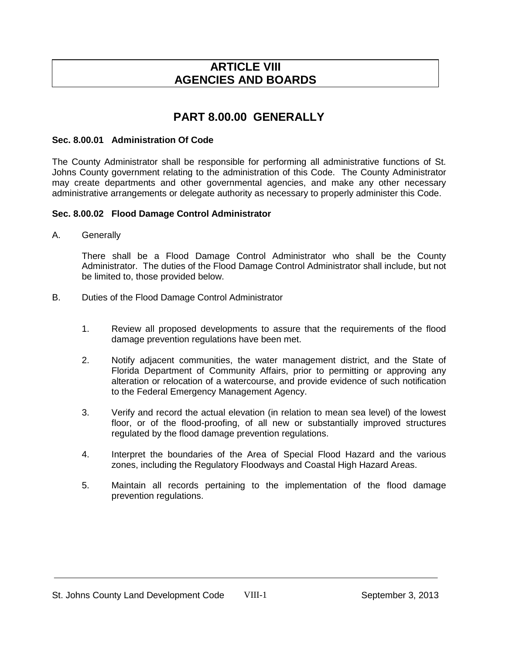### **ARTICLE VIII AGENCIES AND BOARDS**

# **PART 8.00.00 GENERALLY**

#### **Sec. 8.00.01 Administration Of Code**

The County Administrator shall be responsible for performing all administrative functions of St. Johns County government relating to the administration of this Code. The County Administrator may create departments and other governmental agencies, and make any other necessary administrative arrangements or delegate authority as necessary to properly administer this Code.

#### **Sec. 8.00.02 Flood Damage Control Administrator**

A. Generally

There shall be a Flood Damage Control Administrator who shall be the County Administrator. The duties of the Flood Damage Control Administrator shall include, but not be limited to, those provided below.

- B. Duties of the Flood Damage Control Administrator
	- 1. Review all proposed developments to assure that the requirements of the flood damage prevention regulations have been met.
	- 2. Notify adjacent communities, the water management district, and the State of Florida Department of Community Affairs, prior to permitting or approving any alteration or relocation of a watercourse, and provide evidence of such notification to the Federal Emergency Management Agency.
	- 3. Verify and record the actual elevation (in relation to mean sea level) of the lowest floor, or of the flood-proofing, of all new or substantially improved structures regulated by the flood damage prevention regulations.
	- 4. Interpret the boundaries of the Area of Special Flood Hazard and the various zones, including the Regulatory Floodways and Coastal High Hazard Areas.
	- 5. Maintain all records pertaining to the implementation of the flood damage prevention regulations.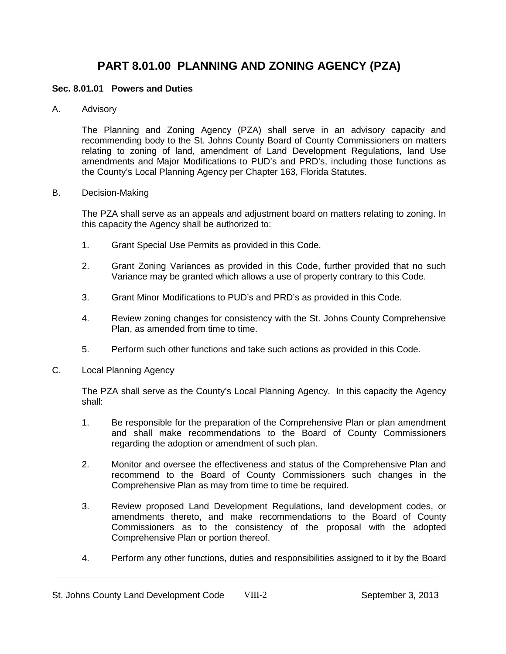# **PART 8.01.00 PLANNING AND ZONING AGENCY (PZA)**

#### **Sec. 8.01.01 Powers and Duties**

A. Advisory

The Planning and Zoning Agency (PZA) shall serve in an advisory capacity and recommending body to the St. Johns County Board of County Commissioners on matters relating to zoning of land, amendment of Land Development Regulations, land Use amendments and Major Modifications to PUD's and PRD's, including those functions as the County's Local Planning Agency per Chapter 163, Florida Statutes.

#### B. Decision-Making

The PZA shall serve as an appeals and adjustment board on matters relating to zoning. In this capacity the Agency shall be authorized to:

- 1. Grant Special Use Permits as provided in this Code.
- 2. Grant Zoning Variances as provided in this Code, further provided that no such Variance may be granted which allows a use of property contrary to this Code.
- 3. Grant Minor Modifications to PUD's and PRD's as provided in this Code.
- 4. Review zoning changes for consistency with the St. Johns County Comprehensive Plan, as amended from time to time.
- 5. Perform such other functions and take such actions as provided in this Code.
- C. Local Planning Agency

The PZA shall serve as the County's Local Planning Agency. In this capacity the Agency shall:

- 1. Be responsible for the preparation of the Comprehensive Plan or plan amendment and shall make recommendations to the Board of County Commissioners regarding the adoption or amendment of such plan.
- 2. Monitor and oversee the effectiveness and status of the Comprehensive Plan and recommend to the Board of County Commissioners such changes in the Comprehensive Plan as may from time to time be required.
- 3. Review proposed Land Development Regulations, land development codes, or amendments thereto, and make recommendations to the Board of County Commissioners as to the consistency of the proposal with the adopted Comprehensive Plan or portion thereof.
- 4. Perform any other functions, duties and responsibilities assigned to it by the Board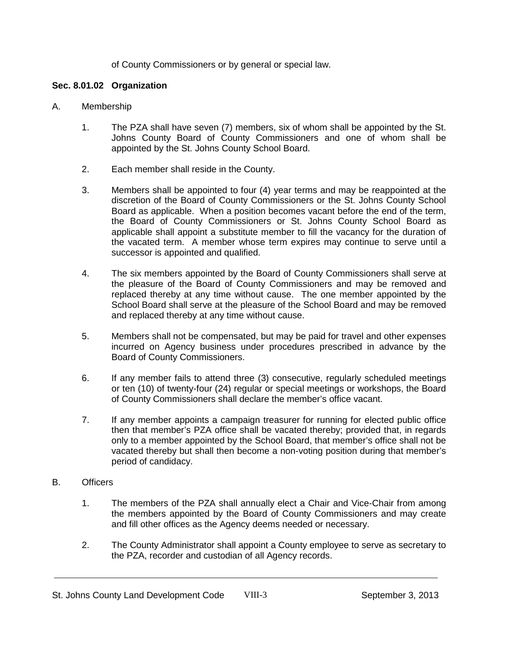of County Commissioners or by general or special law.

#### **Sec. 8.01.02 Organization**

- A. Membership
	- 1. The PZA shall have seven (7) members, six of whom shall be appointed by the St. Johns County Board of County Commissioners and one of whom shall be appointed by the St. Johns County School Board.
	- 2. Each member shall reside in the County.
	- 3. Members shall be appointed to four (4) year terms and may be reappointed at the discretion of the Board of County Commissioners or the St. Johns County School Board as applicable. When a position becomes vacant before the end of the term, the Board of County Commissioners or St. Johns County School Board as applicable shall appoint a substitute member to fill the vacancy for the duration of the vacated term. A member whose term expires may continue to serve until a successor is appointed and qualified.
	- 4. The six members appointed by the Board of County Commissioners shall serve at the pleasure of the Board of County Commissioners and may be removed and replaced thereby at any time without cause. The one member appointed by the School Board shall serve at the pleasure of the School Board and may be removed and replaced thereby at any time without cause.
	- 5. Members shall not be compensated, but may be paid for travel and other expenses incurred on Agency business under procedures prescribed in advance by the Board of County Commissioners.
	- 6. If any member fails to attend three (3) consecutive, regularly scheduled meetings or ten (10) of twenty-four (24) regular or special meetings or workshops, the Board of County Commissioners shall declare the member's office vacant.
	- 7. If any member appoints a campaign treasurer for running for elected public office then that member's PZA office shall be vacated thereby; provided that, in regards only to a member appointed by the School Board, that member's office shall not be vacated thereby but shall then become a non-voting position during that member's period of candidacy.

### B. Officers

- 1. The members of the PZA shall annually elect a Chair and Vice-Chair from among the members appointed by the Board of County Commissioners and may create and fill other offices as the Agency deems needed or necessary.
- 2. The County Administrator shall appoint a County employee to serve as secretary to the PZA, recorder and custodian of all Agency records.